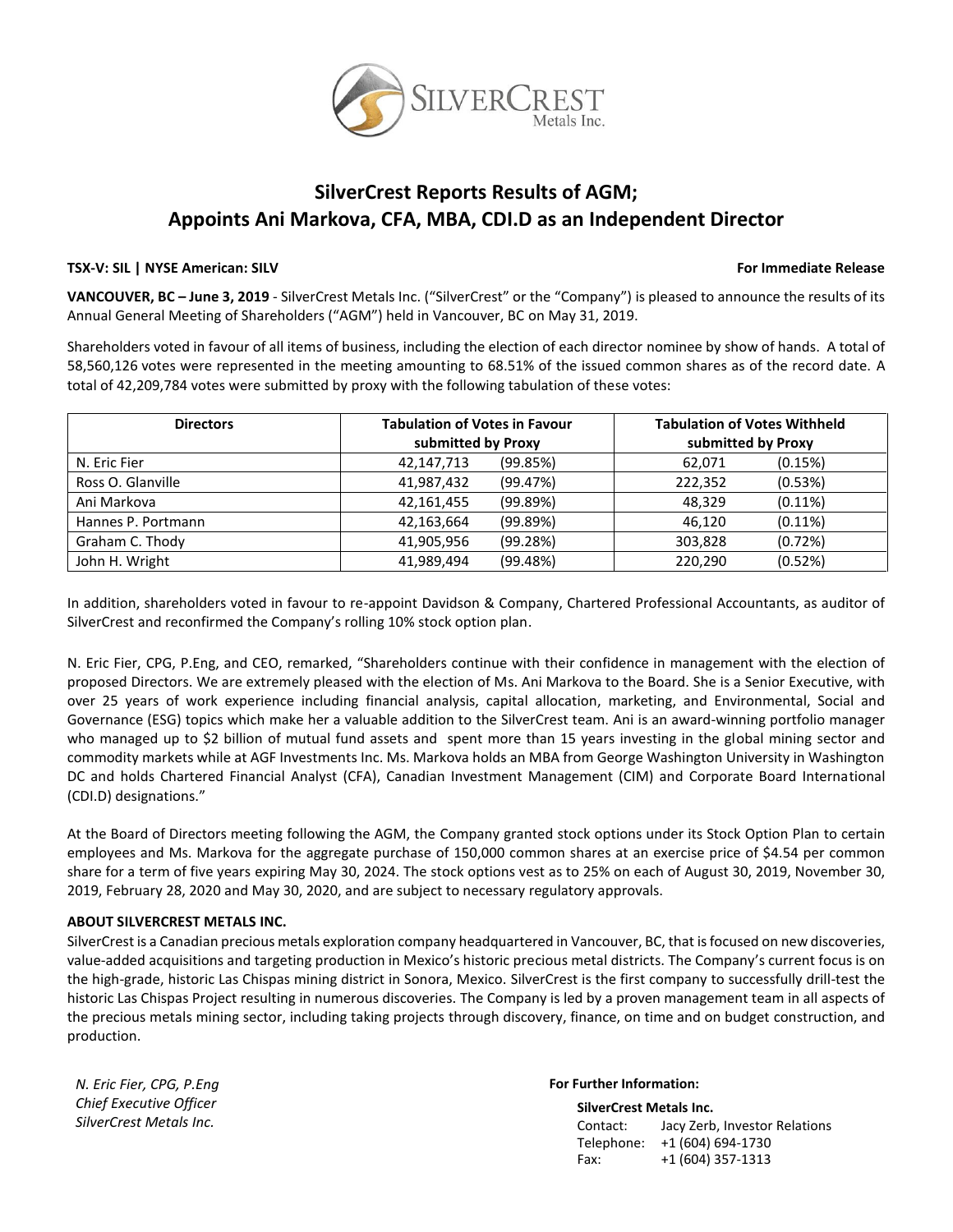

# **SilverCrest Reports Results of AGM; Appoints Ani Markova, CFA, MBA, CDI.D as an Independent Director**

### **TSX-V: SIL | NYSE American: SILV For Immediate Release**

**VANCOUVER, BC – June 3, 2019** - SilverCrest Metals Inc. ("SilverCrest" or the "Company") is pleased to announce the results of its Annual General Meeting of Shareholders ("AGM") held in Vancouver, BC on May 31, 2019.

Shareholders voted in favour of all items of business, including the election of each director nominee by show of hands. A total of 58,560,126 votes were represented in the meeting amounting to 68.51% of the issued common shares as of the record date. A total of 42,209,784 votes were submitted by proxy with the following tabulation of these votes:

| <b>Directors</b>   | <b>Tabulation of Votes in Favour</b><br>submitted by Proxy | <b>Tabulation of Votes Withheld</b><br>submitted by Proxy |
|--------------------|------------------------------------------------------------|-----------------------------------------------------------|
| N. Eric Fier       | (99.85%)<br>42,147,713                                     | (0.15%)<br>62,071                                         |
| Ross O. Glanville  | (99.47%)<br>41,987,432                                     | (0.53%)<br>222,352                                        |
| Ani Markova        | (99.89%)<br>42,161,455                                     | $(0.11\%)$<br>48,329                                      |
| Hannes P. Portmann | (99.89%)<br>42,163,664                                     | $(0.11\%)$<br>46.120                                      |
| Graham C. Thody    | (99.28%)<br>41.905.956                                     | (0.72%)<br>303,828                                        |
| John H. Wright     | (99.48%)<br>41.989.494                                     | (0.52%)<br>220.290                                        |

In addition, shareholders voted in favour to re-appoint Davidson & Company, Chartered Professional Accountants, as auditor of SilverCrest and reconfirmed the Company's rolling 10% stock option plan.

N. Eric Fier, CPG, P.Eng, and CEO, remarked, "Shareholders continue with their confidence in management with the election of proposed Directors. We are extremely pleased with the election of Ms. Ani Markova to the Board. She is a Senior Executive, with over 25 years of work experience including financial analysis, capital allocation, marketing, and Environmental, Social and Governance (ESG) topics which make her a valuable addition to the SilverCrest team. Ani is an award-winning portfolio manager who managed up to \$2 billion of mutual fund assets and spent more than 15 years investing in the global mining sector and commodity markets while at AGF Investments Inc. Ms. Markova holds an MBA from George Washington University in Washington DC and holds Chartered Financial Analyst (CFA), Canadian Investment Management (CIM) and Corporate Board International (CDI.D) designations."

At the Board of Directors meeting following the AGM, the Company granted stock options under its Stock Option Plan to certain employees and Ms. Markova for the aggregate purchase of 150,000 common shares at an exercise price of \$4.54 per common share for a term of five years expiring May 30, 2024. The stock options vest as to 25% on each of August 30, 2019, November 30, 2019, February 28, 2020 and May 30, 2020, and are subject to necessary regulatory approvals.

## **ABOUT SILVERCREST METALS INC.**

SilverCrest is a Canadian precious metals exploration company headquartered in Vancouver, BC, that is focused on new discoveries, value-added acquisitions and targeting production in Mexico's historic precious metal districts. The Company's current focus is on the high-grade, historic Las Chispas mining district in Sonora, Mexico. SilverCrest is the first company to successfully drill-test the historic Las Chispas Project resulting in numerous discoveries. The Company is led by a proven management team in all aspects of the precious metals mining sector, including taking projects through discovery, finance, on time and on budget construction, and production.

*N. Eric Fier, CPG, P.Eng Chief Executive Officer SilverCrest Metals Inc.*

### **For Further Information:**

**SilverCrest Metals Inc.** Contact: Jacy Zerb, Investor Relations Telephone: +1 (604) 694-1730 Fax: +1 (604) 357-1313